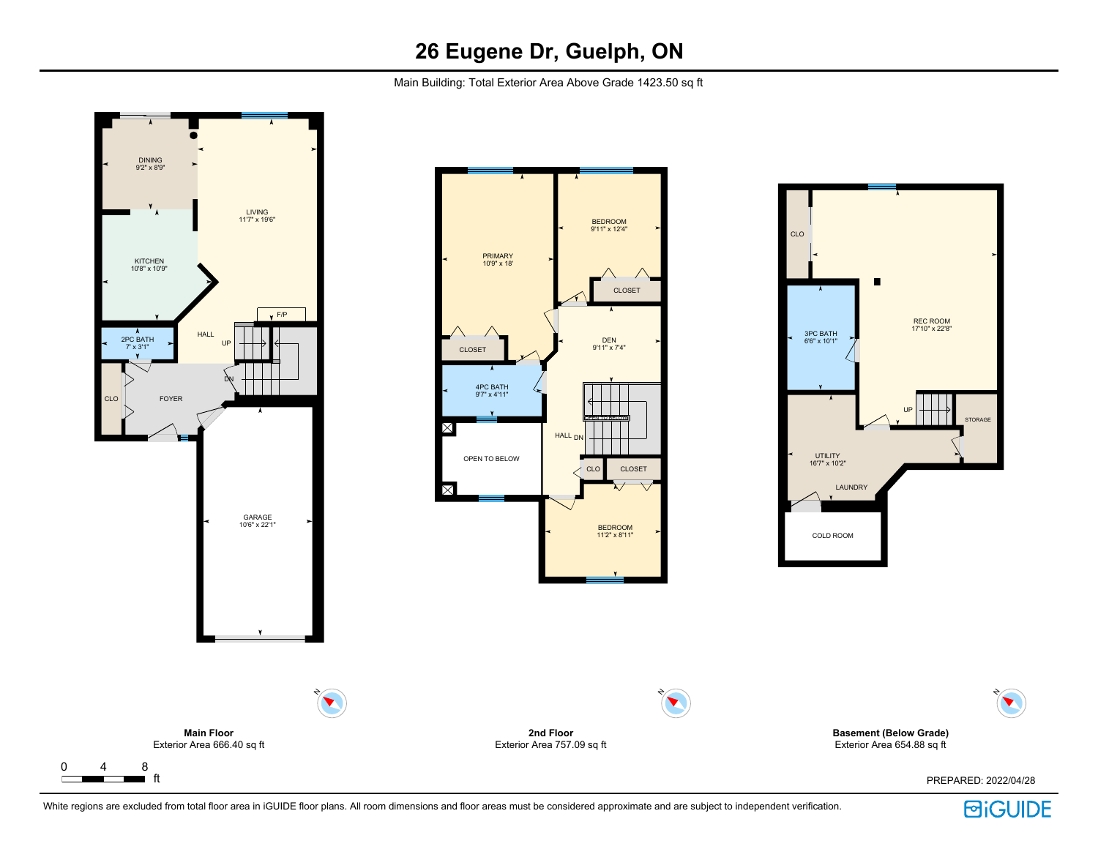Main Building: Total Exterior Area Above Grade 1423.50 sq ft





**Basement (Below Grade)** Exterior Area 654.88 sq ft

PREPARED: 2022/04/28

N

 $\blacktriangledown$ 

White regions are excluded from total floor area in iGUIDE floor plans. All room dimensions and floor areas must be considered approximate and are subject to independent verification.

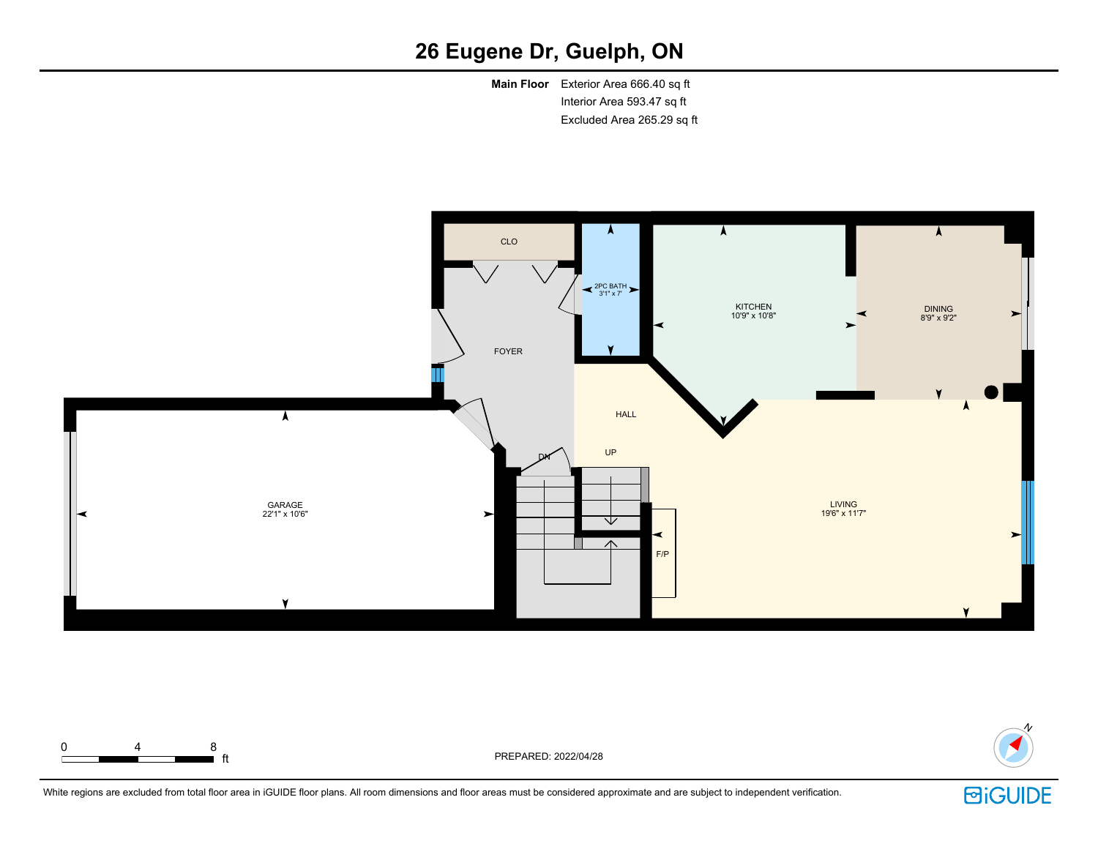**Main Floor** Exterior Area 666.40 sq ft Interior Area 593.47 sq ft Excluded Area 265.29 sq ft





White regions are excluded from total floor area in iGUIDE floor plans. All room dimensions and floor areas must be considered approximate and are subject to independent verification.

**i** ft **ft** PREPARED: 2022/04/28

0 4 8

**回iGUIDE**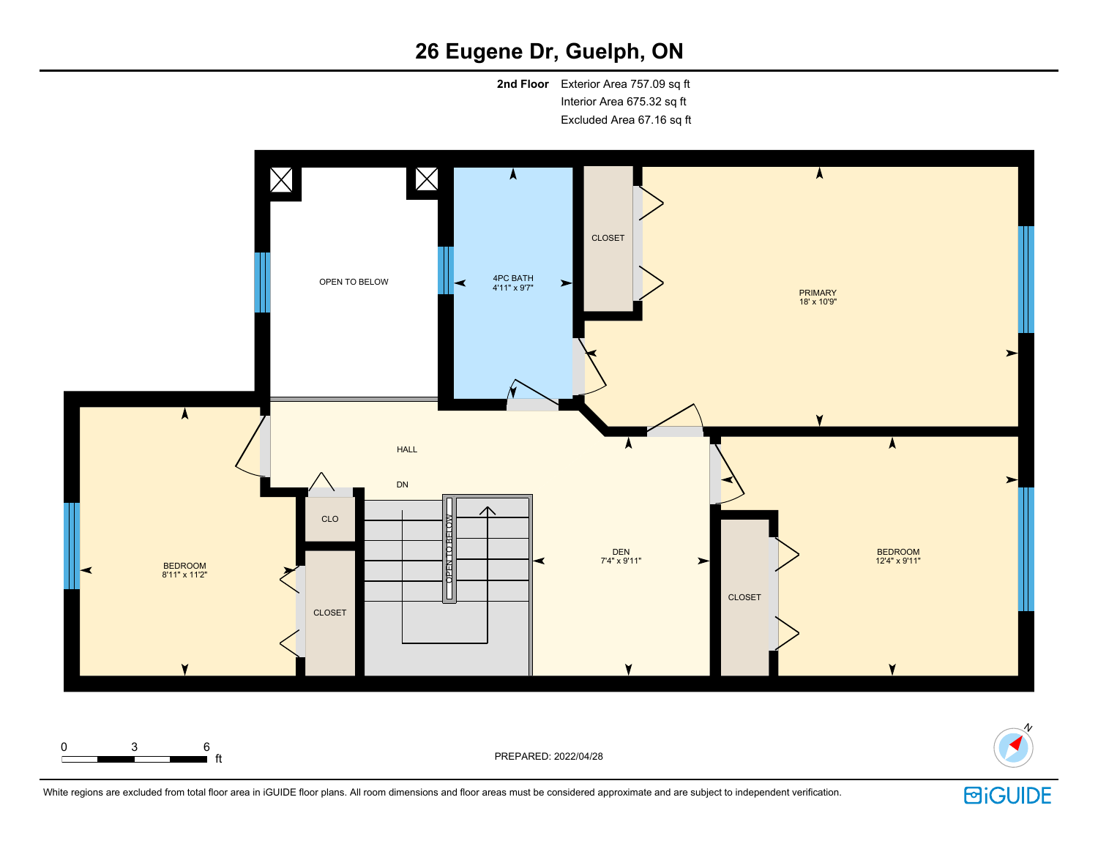**2nd Floor** Exterior Area 757.09 sq ft Interior Area 675.32 sq ft Excluded Area 67.16 sq ft



0 3 6

 $\blacksquare$  ft  $\blacksquare$ 



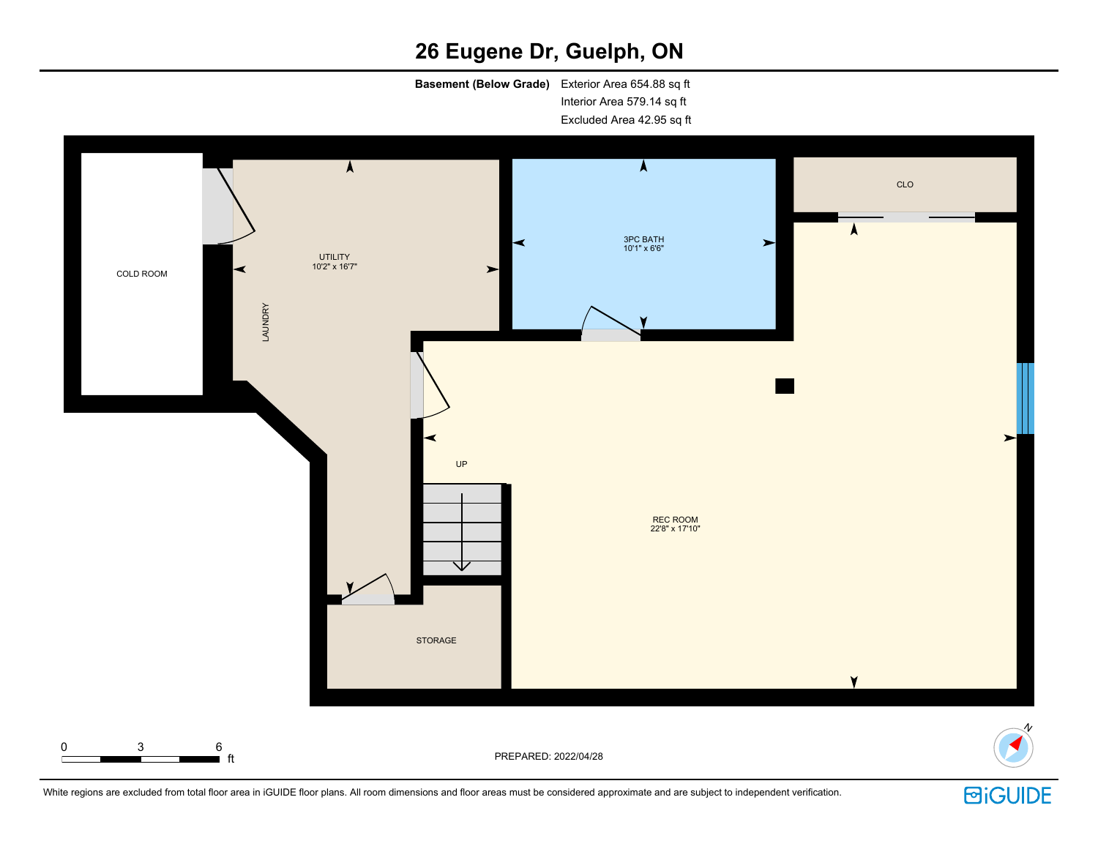**Basement (Below Grade)** Exterior Area 654.88 sq ft Interior Area 579.14 sq ft Excluded Area 42.95 sq ft



White regions are excluded from total floor area in iGUIDE floor plans. All room dimensions and floor areas must be considered approximate and are subject to independent verification.

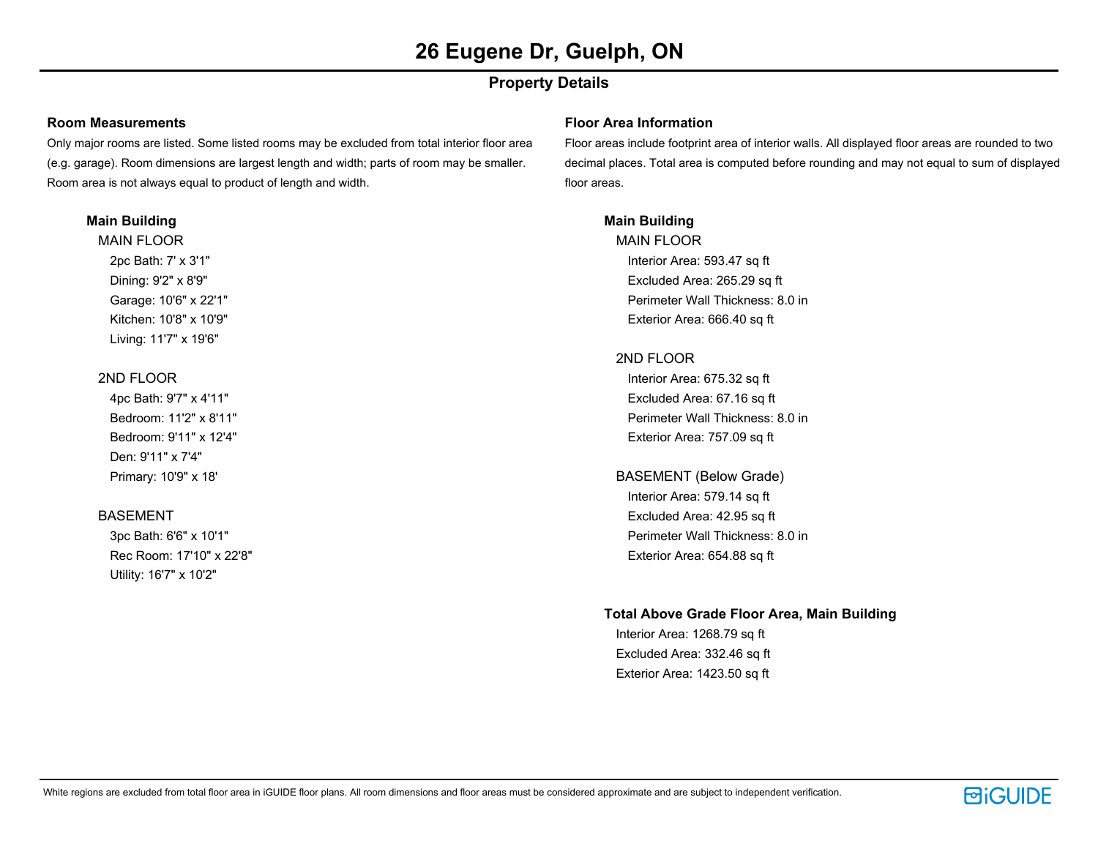# **Property Details**

### **Room Measurements**

Only major rooms are listed. Some listed rooms may be excluded from total interior floor area (e.g. garage). Room dimensions are largest length and width; parts of room may be smaller. Room area is not always equal to product of length and width.

### **Main Building**

MAIN FLOOR 2pc Bath: 7' x 3'1" Dining: 9'2" x 8'9" Garage: 10'6" x 22'1" Kitchen: 10'8" x 10'9" Living: 11'7" x 19'6"

# 2ND FLOOR

4pc Bath: 9'7" x 4'11" Bedroom: 11'2" x 8'11" Bedroom: 9'11" x 12'4" Den: 9'11" x 7'4" Primary: 10'9" x 18'

# BASEMENT

3pc Bath: 6'6" x 10'1" Rec Room: 17'10" x 22'8" Utility: 16'7" x 10'2"

### **Floor Area Information**

Floor areas include footprint area of interior walls. All displayed floor areas are rounded to two decimal places. Total area is computed before rounding and may not equal to sum of displayed floor areas.

# **Main Building**

MAIN FLOOR Interior Area: 593.47 sq ft Excluded Area: 265.29 sq ft Perimeter Wall Thickness: 8.0 in Exterior Area: 666.40 sq ft

# 2ND FLOOR

Interior Area: 675.32 sq ft Excluded Area: 67.16 sq ft Perimeter Wall Thickness: 8.0 in Exterior Area: 757.09 sq ft

BASEMENT (Below Grade) Interior Area: 579.14 sq ft Excluded Area: 42.95 sq ft Perimeter Wall Thickness: 8.0 in Exterior Area: 654.88 sq ft

# **Total Above Grade Floor Area, Main Building**

Interior Area: 1268.79 sq ft Excluded Area: 332.46 sq ft Exterior Area: 1423.50 sq ft